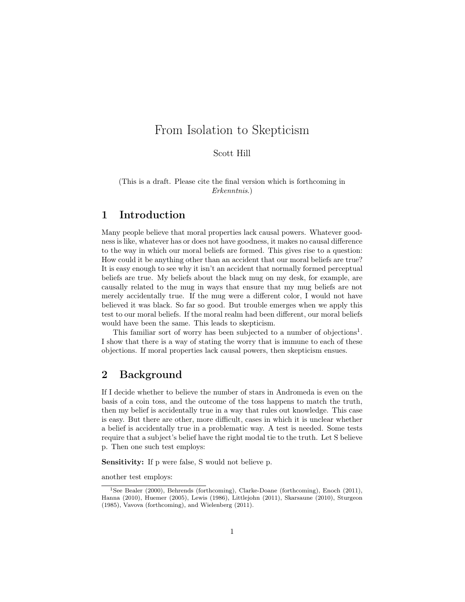# From Isolation to Skepticism

Scott Hill

(This is a draft. Please cite the final version which is forthcoming in *Erkenntnis*.)

#### 1 Introduction

Many people believe that moral properties lack causal powers. Whatever goodness is like, whatever has or does not have goodness, it makes no causal difference to the way in which our moral beliefs are formed. This gives rise to a question: How could it be anything other than an accident that our moral beliefs are true? It is easy enough to see why it isn't an accident that normally formed perceptual beliefs are true. My beliefs about the black mug on my desk, for example, are causally related to the mug in ways that ensure that my mug beliefs are not merely accidentally true. If the mug were a different color, I would not have believed it was black. So far so good. But trouble emerges when we apply this test to our moral beliefs. If the moral realm had been different, our moral beliefs would have been the same. This leads to skepticism.

This familiar sort of worry has been subjected to a number of objections<sup>1</sup>. I show that there is a way of stating the worry that is immune to each of these objections. If moral properties lack causal powers, then skepticism ensues.

#### 2 Background

If I decide whether to believe the number of stars in Andromeda is even on the basis of a coin toss, and the outcome of the toss happens to match the truth, then my belief is accidentally true in a way that rules out knowledge. This case is easy. But there are other, more difficult, cases in which it is unclear whether a belief is accidentally true in a problematic way. A test is needed. Some tests require that a subject's belief have the right modal tie to the truth. Let S believe p. Then one such test employs:

Sensitivity: If p were false, S would not believe p.

another test employs:

<sup>1</sup>See Bealer (2000), Behrends (forthcoming), Clarke-Doane (forthcoming), Enoch (2011), Hanna (2010), Huemer (2005), Lewis (1986), Littlejohn (2011), Skarsaune (2010), Sturgeon (1985), Vavova (forthcoming), and Wielenberg (2011).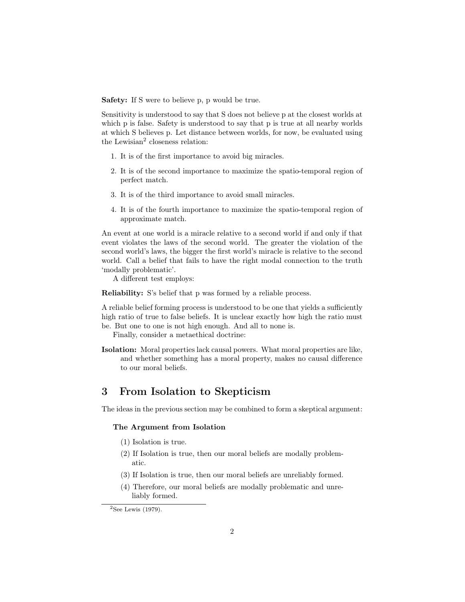Safety: If S were to believe p, p would be true.

Sensitivity is understood to say that S does not believe p at the closest worlds at which p is false. Safety is understood to say that p is true at all nearby worlds at which S believes p. Let distance between worlds, for now, be evaluated using the Lewisian<sup>2</sup> closeness relation:

- 1. It is of the first importance to avoid big miracles.
- 2. It is of the second importance to maximize the spatio-temporal region of perfect match.
- 3. It is of the third importance to avoid small miracles.
- 4. It is of the fourth importance to maximize the spatio-temporal region of approximate match.

An event at one world is a miracle relative to a second world if and only if that event violates the laws of the second world. The greater the violation of the second world's laws, the bigger the first world's miracle is relative to the second world. Call a belief that fails to have the right modal connection to the truth 'modally problematic'.

A different test employs:

Reliability: S's belief that p was formed by a reliable process.

A reliable belief forming process is understood to be one that yields a sufficiently high ratio of true to false beliefs. It is unclear exactly how high the ratio must be. But one to one is not high enough. And all to none is.

Finally, consider a metaethical doctrine:

Isolation: Moral properties lack causal powers. What moral properties are like, and whether something has a moral property, makes no causal difference to our moral beliefs.

#### 3 From Isolation to Skepticism

The ideas in the previous section may be combined to form a skeptical argument:

#### The Argument from Isolation

- (1) Isolation is true.
- (2) If Isolation is true, then our moral beliefs are modally problematic.
- (3) If Isolation is true, then our moral beliefs are unreliably formed.
- (4) Therefore, our moral beliefs are modally problematic and unreliably formed.

 $2$ See Lewis (1979).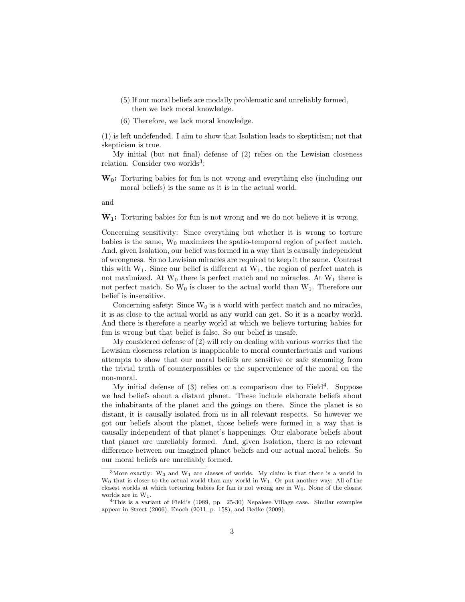- (5) If our moral beliefs are modally problematic and unreliably formed, then we lack moral knowledge.
- (6) Therefore, we lack moral knowledge.

(1) is left undefended. I aim to show that Isolation leads to skepticism; not that skepticism is true.

My initial (but not final) defense of (2) relies on the Lewisian closeness relation. Consider two worlds<sup>3</sup>:

W0: Torturing babies for fun is not wrong and everything else (including our moral beliefs) is the same as it is in the actual world.

and

W1: Torturing babies for fun is not wrong and we do not believe it is wrong.

Concerning sensitivity: Since everything but whether it is wrong to torture babies is the same,  $W_0$  maximizes the spatio-temporal region of perfect match. And, given Isolation, our belief was formed in a way that is causally independent of wrongness. So no Lewisian miracles are required to keep it the same. Contrast this with  $W_1$ . Since our belief is different at  $W_1$ , the region of perfect match is not maximized. At  $W_0$  there is perfect match and no miracles. At  $W_1$  there is not perfect match. So  $W_0$  is closer to the actual world than  $W_1$ . Therefore our belief is insensitive.

Concerning safety: Since  $W_0$  is a world with perfect match and no miracles, it is as close to the actual world as any world can get. So it is a nearby world. And there is therefore a nearby world at which we believe torturing babies for fun is wrong but that belief is false. So our belief is unsafe.

My considered defense of (2) will rely on dealing with various worries that the Lewisian closeness relation is inapplicable to moral counterfactuals and various attempts to show that our moral beliefs are sensitive or safe stemming from the trivial truth of counterpossibles or the supervenience of the moral on the non-moral.

My initial defense of  $(3)$  relies on a comparison due to Field<sup>4</sup>. Suppose we had beliefs about a distant planet. These include elaborate beliefs about the inhabitants of the planet and the goings on there. Since the planet is so distant, it is causally isolated from us in all relevant respects. So however we got our beliefs about the planet, those beliefs were formed in a way that is causally independent of that planet's happenings. Our elaborate beliefs about that planet are unreliably formed. And, given Isolation, there is no relevant difference between our imagined planet beliefs and our actual moral beliefs. So our moral beliefs are unreliably formed.

 $3$ More exactly: W<sub>0</sub> and W<sub>1</sub> are classes of worlds. My claim is that there is a world in  $W_0$  that is closer to the actual world than any world in  $W_1$ . Or put another way: All of the closest worlds at which torturing babies for fun is not wrong are in  $W_0$ . None of the closest worlds are in  $W_1$ .

<sup>&</sup>lt;sup>4</sup>This is a variant of Field's (1989, pp. 25-30) Nepalese Village case. Similar examples appear in Street (2006), Enoch (2011, p. 158), and Bedke (2009).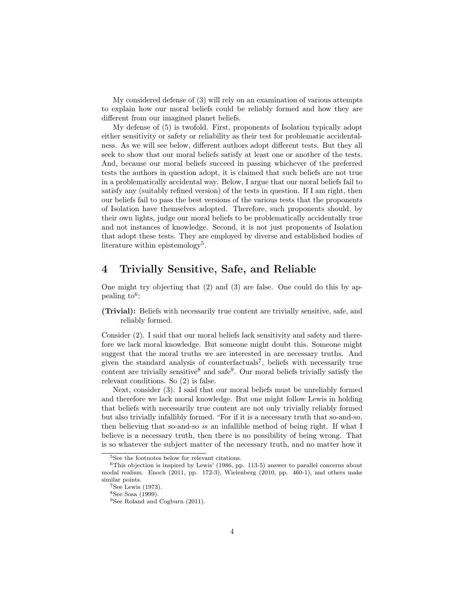My considered defense of (3) will rely on an examination of various attempts to explain how our moral beliefs could be reliably formed and how they are different from our imagined planet beliefs.

My defense of (5) is twofold. First, proponents of Isolation typically adopt either sensitivity or safety or reliability as their test for problematic accidentalness. As we will see below, different authors adopt different tests. But they all seek to show that our moral beliefs satisfy at least one or another of the tests. And, because our moral beliefs succeed in passing whichever of the preferred tests the authors in question adopt, it is claimed that such beliefs are not true in a problematically accidental way. Below, I argue that our moral beliefs fail to satisfy any (suitably refined version) of the tests in question. If I am right, then our beliefs fail to pass the best versions of the various tests that the proponents of Isolation have themselves adopted. Therefore, such proponents should, by their own lights, judge our moral beliefs to be problematically accidentally true and not instances of knowledge. Second, it is not just proponents of Isolation that adopt these tests. They are employed by diverse and established bodies of literature within epistemology<sup>5</sup>.

#### 4 Trivially Sensitive, Safe, and Reliable

One might try objecting that (2) and (3) are false. One could do this by appealing to<sup>6</sup>:

(Trivial): Beliefs with necessarily true content are trivially sensitive, safe, and reliably formed.

Consider (2). I said that our moral beliefs lack sensitivity and safety and therefore we lack moral knowledge. But someone might doubt this. Someone might suggest that the moral truths we are interested in are necessary truths. And given the standard analysis of counterfactuals<sup>7</sup>, beliefs with necessarily true content are trivially sensitive<sup>8</sup> and safe<sup>9</sup>. Our moral beliefs trivially satisfy the relevant conditions. So (2) is false.

Next, consider (3). I said that our moral beliefs must be unreliably formed and therefore we lack moral knowledge. But one might follow Lewis in holding that beliefs with necessarily true content are not only trivially reliably formed but also trivially infallibly formed. "For if it is a necessary truth that so-and-so, then believing that so-and-so *is* an infallible method of being right. If what I believe is a necessary truth, then there is no possibility of being wrong. That is so whatever the subject matter of the necessary truth, and no matter how it

<sup>&</sup>lt;sup>5</sup>See the footnotes below for relevant citations.

 $6$ This objection is inspired by Lewis' (1986, pp. 113-5) answer to parallel concerns about modal realism. Enoch (2011, pp. 172-3), Wielenberg (2010, pp. 460-1), and others make similar points.

 $7$ See Lewis (1973).

<sup>8</sup>See Sosa (1999).

<sup>&</sup>lt;sup>9</sup>See Roland and Cogburn (2011).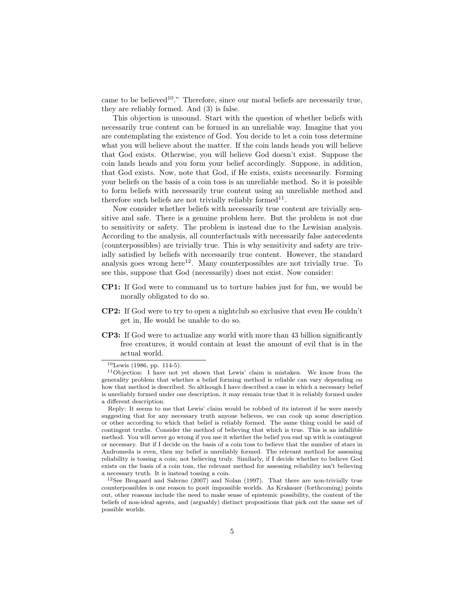came to be believed<sup>10</sup>." Therefore, since our moral beliefs are necessarily true, they are reliably formed. And (3) is false.

This objection is unsound. Start with the question of whether beliefs with necessarily true content can be formed in an unreliable way. Imagine that you are contemplating the existence of God. You decide to let a coin toss determine what you will believe about the matter. If the coin lands heads you will believe that God exists. Otherwise, you will believe God doesn't exist. Suppose the coin lands heads and you form your belief accordingly. Suppose, in addition, that God exists. Now, note that God, if He exists, exists necessarily. Forming your beliefs on the basis of a coin toss is an unreliable method. So it is possible to form beliefs with necessarily true content using an unreliable method and therefore such beliefs are not trivially reliably formed $11$ .

Now consider whether beliefs with necessarily true content are trivially sensitive and safe. There is a genuine problem here. But the problem is not due to sensitivity or safety. The problem is instead due to the Lewisian analysis. According to the analysis, all counterfactuals with necessarily false antecedents (counterpossibles) are trivially true. This is why sensitivity and safety are trivially satisfied by beliefs with necessarily true content. However, the standard analysis goes wrong here $^{12}$ . Many counterpossibles are not trivially true. To see this, suppose that God (necessarily) does not exist. Now consider:

- CP1: If God were to command us to torture babies just for fun, we would be morally obligated to do so.
- CP2: If God were to try to open a nightclub so exclusive that even He couldn't get in, He would be unable to do so.
- CP3: If God were to actualize any world with more than 43 billion significantly free creatures, it would contain at least the amount of evil that is in the actual world.

<sup>10</sup>Lewis (1986, pp. 114-5).

<sup>11</sup>Objection: I have not yet shown that Lewis' claim is mistaken. We know from the generality problem that whether a belief forming method is reliable can vary depending on how that method is described. So although I have described a case in which a necessary belief is unreliably formed under one description, it may remain true that it is reliably formed under a different description.

Reply: It seems to me that Lewis' claim would be robbed of its interest if he were merely suggesting that for any necessary truth anyone believes, we can cook up some description or other according to which that belief is reliably formed. The same thing could be said of contingent truths. Consider the method of believing that which is true. This is an infallible method. You will never go wrong if you use it whether the belief you end up with is contingent or necessary. But if I decide on the basis of a coin toss to believe that the number of stars in Andromeda is even, then my belief is unreliably formed. The relevant method for assessing reliability is tossing a coin; not believing truly. Similarly, if I decide whether to believe God exists on the basis of a coin toss, the relevant method for assessing reliability isn't believing a necessary truth. It is instead tossing a coin.

<sup>12</sup>See Brogaard and Salerno (2007) and Nolan (1997). That there are non-trivially true counterpossibles is one reason to posit impossible worlds. As Krakauer (forthcoming) points out, other reasons include the need to make sense of epistemic possibility, the content of the beliefs of non-ideal agents, and (arguably) distinct propositions that pick out the same set of possible worlds.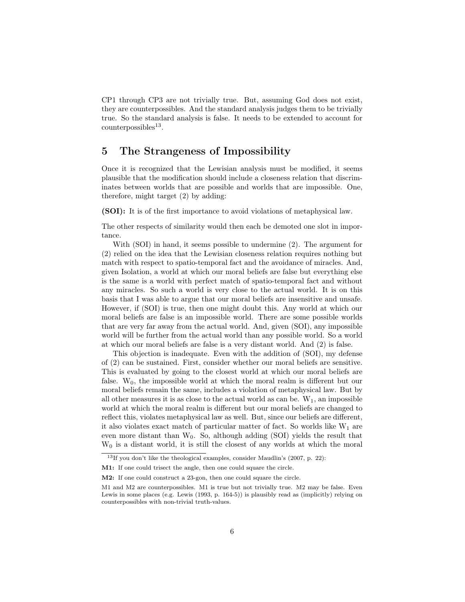CP1 through CP3 are not trivially true. But, assuming God does not exist, they are counterpossibles. And the standard analysis judges them to be trivially true. So the standard analysis is false. It needs to be extended to account for  $counterpossible<sup>13</sup>$ .

#### 5 The Strangeness of Impossibility

Once it is recognized that the Lewisian analysis must be modified, it seems plausible that the modification should include a closeness relation that discriminates between worlds that are possible and worlds that are impossible. One, therefore, might target (2) by adding:

(SOI): It is of the first importance to avoid violations of metaphysical law.

The other respects of similarity would then each be demoted one slot in importance.

With (SOI) in hand, it seems possible to undermine (2). The argument for (2) relied on the idea that the Lewisian closeness relation requires nothing but match with respect to spatio-temporal fact and the avoidance of miracles. And, given Isolation, a world at which our moral beliefs are false but everything else is the same is a world with perfect match of spatio-temporal fact and without any miracles. So such a world is very close to the actual world. It is on this basis that I was able to argue that our moral beliefs are insensitive and unsafe. However, if (SOI) is true, then one might doubt this. Any world at which our moral beliefs are false is an impossible world. There are some possible worlds that are very far away from the actual world. And, given (SOI), any impossible world will be further from the actual world than any possible world. So a world at which our moral beliefs are false is a very distant world. And (2) is false.

This objection is inadequate. Even with the addition of (SOI), my defense of (2) can be sustained. First, consider whether our moral beliefs are sensitive. This is evaluated by going to the closest world at which our moral beliefs are false.  $W_0$ , the impossible world at which the moral realm is different but our moral beliefs remain the same, includes a violation of metaphysical law. But by all other measures it is as close to the actual world as can be.  $W_1$ , an impossible world at which the moral realm is different but our moral beliefs are changed to reflect this, violates metaphysical law as well. But, since our beliefs are different, it also violates exact match of particular matter of fact. So worlds like  $W_1$  are even more distant than  $W_0$ . So, although adding (SOI) yields the result that  $W_0$  is a distant world, it is still the closest of any worlds at which the moral

 $13$ If you don't like the theological examples, consider Maudlin's (2007, p. 22):

M1: If one could trisect the angle, then one could square the circle.

M2: If one could construct a 23-gon, then one could square the circle.

M1 and M2 are counterpossibles. M1 is true but not trivially true. M2 may be false. Even Lewis in some places (e.g. Lewis (1993, p. 164-5)) is plausibly read as (implicitly) relying on counterpossibles with non-trivial truth-values.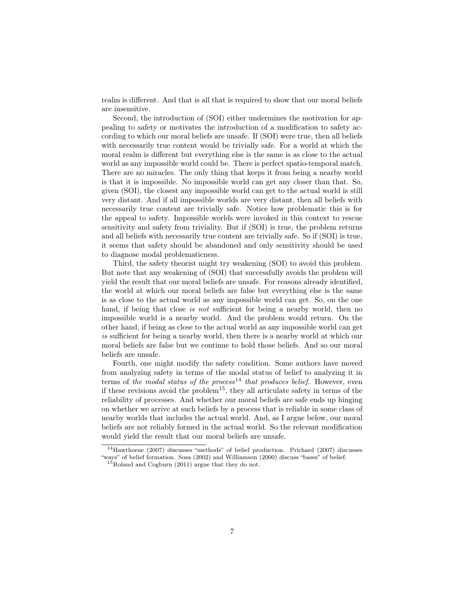realm is different. And that is all that is required to show that our moral beliefs are insensitive.

Second, the introduction of (SOI) either undermines the motivation for appealing to safety or motivates the introduction of a modification to safety according to which our moral beliefs are unsafe. If (SOI) were true, then all beliefs with necessarily true content would be trivially safe. For a world at which the moral realm is different but everything else is the same is as close to the actual world as any impossible world could be. There is perfect spatio-temporal match. There are no miracles. The only thing that keeps it from being a nearby world is that it is impossible. No impossible world can get any closer than that. So, given (SOI), the closest any impossible world can get to the actual world is still very distant. And if all impossible worlds are very distant, then all beliefs with necessarily true content are trivially safe. Notice how problematic this is for the appeal to safety. Impossible worlds were invoked in this context to rescue sensitivity and safety from triviality. But if (SOI) is true, the problem returns and all beliefs with necessarily true content are trivially safe. So if (SOI) is true, it seems that safety should be abandoned and only sensitivity should be used to diagnose modal problematicness.

Third, the safety theorist might try weakening (SOI) to avoid this problem. But note that any weakening of (SOI) that successfully avoids the problem will yield the result that our moral beliefs are unsafe. For reasons already identified, the world at which our moral beliefs are false but everything else is the same is as close to the actual world as any impossible world can get. So, on the one hand, if being that close *is not* sufficient for being a nearby world, then no impossible world is a nearby world. And the problem would return. On the other hand, if being as close to the actual world as any impossible world can get *is* sufficient for being a nearby world, then there is a nearby world at which our moral beliefs are false but we continue to hold those beliefs. And so our moral beliefs are unsafe.

Fourth, one might modify the safety condition. Some authors have moved from analyzing safety in terms of the modal status of belief to analyzing it in terms of *the modal status of the process*<sup>14</sup> *that produces belief.* However, even if these revisions avoid the problem<sup>15</sup>, they all articulate safety in terms of the reliability of processes. And whether our moral beliefs are safe ends up hinging on whether we arrive at such beliefs by a process that is reliable in some class of nearby worlds that includes the actual world. And, as I argue below, our moral beliefs are not reliably formed in the actual world. So the relevant modification would yield the result that our moral beliefs are unsafe.

<sup>14</sup>Hawthorne (2007) discusses "methods" of belief production. Prichard (2007) discusses "ways" of belief formation. Sosa (2002) and Williamson (2000) discuss "bases" of belief.

 $15R$ oland and Cogburn (2011) argue that they do not.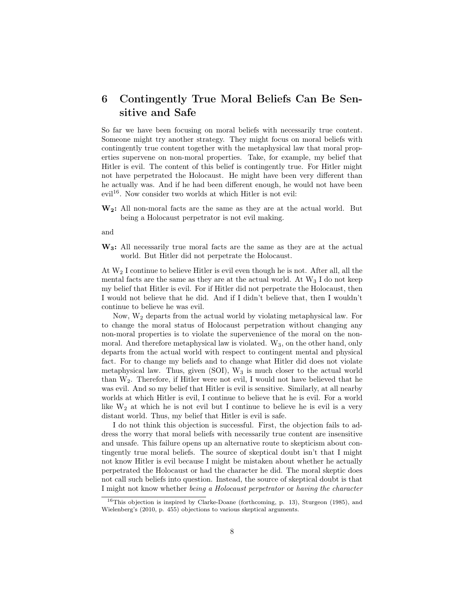## 6 Contingently True Moral Beliefs Can Be Sensitive and Safe

So far we have been focusing on moral beliefs with necessarily true content. Someone might try another strategy. They might focus on moral beliefs with contingently true content together with the metaphysical law that moral properties supervene on non-moral properties. Take, for example, my belief that Hitler is evil. The content of this belief is contingently true. For Hitler might not have perpetrated the Holocaust. He might have been very different than he actually was. And if he had been different enough, he would not have been  $evil<sup>16</sup>$ . Now consider two worlds at which Hitler is not evil:

W2: All non-moral facts are the same as they are at the actual world. But being a Holocaust perpetrator is not evil making.

and

W<sub>3</sub>: All necessarily true moral facts are the same as they are at the actual world. But Hitler did not perpetrate the Holocaust.

At W<sup>2</sup> I continue to believe Hitler is evil even though he is not. After all, all the mental facts are the same as they are at the actual world. At  $W_3$  I do not keep my belief that Hitler is evil. For if Hitler did not perpetrate the Holocaust, then I would not believe that he did. And if I didn't believe that, then I wouldn't continue to believe he was evil.

Now, W<sup>2</sup> departs from the actual world by violating metaphysical law. For to change the moral status of Holocaust perpetration without changing any non-moral properties is to violate the supervenience of the moral on the nonmoral. And therefore metaphysical law is violated.  $W_3$ , on the other hand, only departs from the actual world with respect to contingent mental and physical fact. For to change my beliefs and to change what Hitler did does not violate metaphysical law. Thus, given  $(SOI)$ ,  $W_3$  is much closer to the actual world than  $W_2$ . Therefore, if Hitler were not evil, I would not have believed that he was evil. And so my belief that Hitler is evil is sensitive. Similarly, at all nearby worlds at which Hitler is evil, I continue to believe that he is evil. For a world like  $W_2$  at which he is not evil but I continue to believe he is evil is a very distant world. Thus, my belief that Hitler is evil is safe.

I do not think this objection is successful. First, the objection fails to address the worry that moral beliefs with necessarily true content are insensitive and unsafe. This failure opens up an alternative route to skepticism about contingently true moral beliefs. The source of skeptical doubt isn't that I might not know Hitler is evil because I might be mistaken about whether he actually perpetrated the Holocaust or had the character he did. The moral skeptic does not call such beliefs into question. Instead, the source of skeptical doubt is that I might not know whether *being a Holocaust perpetrator* or *having the character*

 $16$ This objection is inspired by Clarke-Doane (forthcoming, p. 13), Sturgeon (1985), and Wielenberg's (2010, p. 455) objections to various skeptical arguments.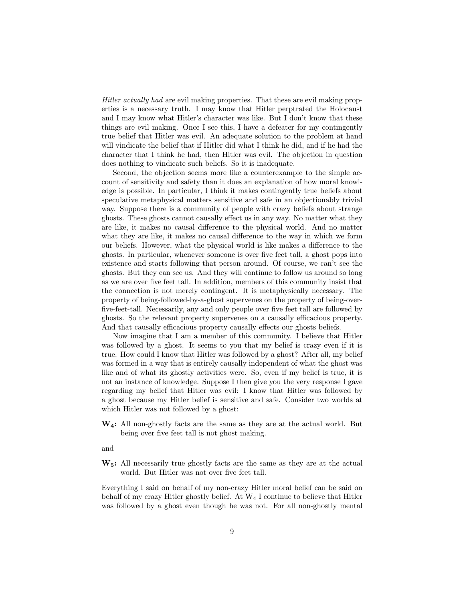*Hitler actually had* are evil making properties. That these are evil making properties is a necessary truth. I may know that Hitler perptrated the Holocaust and I may know what Hitler's character was like. But I don't know that these things are evil making. Once I see this, I have a defeater for my contingently true belief that Hitler was evil. An adequate solution to the problem at hand will vindicate the belief that if Hitler did what I think he did, and if he had the character that I think he had, then Hitler was evil. The objection in question does nothing to vindicate such beliefs. So it is inadequate.

Second, the objection seems more like a counterexample to the simple account of sensitivity and safety than it does an explanation of how moral knowledge is possible. In particular, I think it makes contingently true beliefs about speculative metaphysical matters sensitive and safe in an objectionably trivial way. Suppose there is a community of people with crazy beliefs about strange ghosts. These ghosts cannot causally effect us in any way. No matter what they are like, it makes no causal difference to the physical world. And no matter what they are like, it makes no causal difference to the way in which we form our beliefs. However, what the physical world is like makes a difference to the ghosts. In particular, whenever someone is over five feet tall, a ghost pops into existence and starts following that person around. Of course, we can't see the ghosts. But they can see us. And they will continue to follow us around so long as we are over five feet tall. In addition, members of this community insist that the connection is not merely contingent. It is metaphysically necessary. The property of being-followed-by-a-ghost supervenes on the property of being-overfive-feet-tall. Necessarily, any and only people over five feet tall are followed by ghosts. So the relevant property supervenes on a causally efficacious property. And that causally efficacious property causally effects our ghosts beliefs.

Now imagine that I am a member of this community. I believe that Hitler was followed by a ghost. It seems to you that my belief is crazy even if it is true. How could I know that Hitler was followed by a ghost? After all, my belief was formed in a way that is entirely causally independent of what the ghost was like and of what its ghostly activities were. So, even if my belief is true, it is not an instance of knowledge. Suppose I then give you the very response I gave regarding my belief that Hitler was evil: I know that Hitler was followed by a ghost because my Hitler belief is sensitive and safe. Consider two worlds at which Hitler was not followed by a ghost:

W4: All non-ghostly facts are the same as they are at the actual world. But being over five feet tall is not ghost making.

and

W<sub>5</sub>: All necessarily true ghostly facts are the same as they are at the actual world. But Hitler was not over five feet tall.

Everything I said on behalf of my non-crazy Hitler moral belief can be said on behalf of my crazy Hitler ghostly belief. At  $W_4$  I continue to believe that Hitler was followed by a ghost even though he was not. For all non-ghostly mental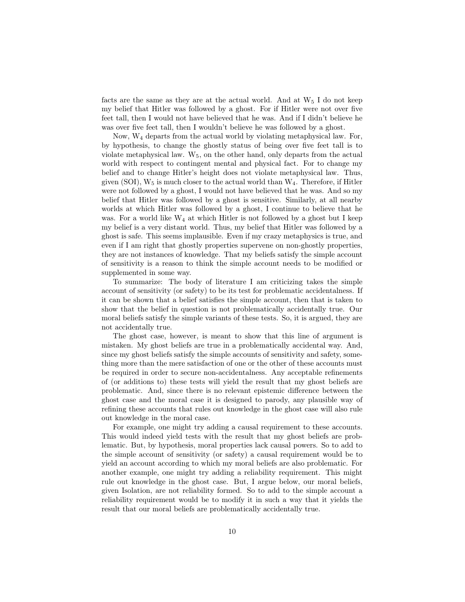facts are the same as they are at the actual world. And at  $W_5$  I do not keep my belief that Hitler was followed by a ghost. For if Hitler were not over five feet tall, then I would not have believed that he was. And if I didn't believe he was over five feet tall, then I wouldn't believe he was followed by a ghost.

Now, W<sup>4</sup> departs from the actual world by violating metaphysical law. For, by hypothesis, to change the ghostly status of being over five feet tall is to violate metaphysical law.  $W_5$ , on the other hand, only departs from the actual world with respect to contingent mental and physical fact. For to change my belief and to change Hitler's height does not violate metaphysical law. Thus, given (SOI),  $W_5$  is much closer to the actual world than  $W_4$ . Therefore, if Hitler were not followed by a ghost, I would not have believed that he was. And so my belief that Hitler was followed by a ghost is sensitive. Similarly, at all nearby worlds at which Hitler was followed by a ghost, I continue to believe that he was. For a world like  $W_4$  at which Hitler is not followed by a ghost but I keep my belief is a very distant world. Thus, my belief that Hitler was followed by a ghost is safe. This seems implausible. Even if my crazy metaphysics is true, and even if I am right that ghostly properties supervene on non-ghostly properties, they are not instances of knowledge. That my beliefs satisfy the simple account of sensitivity is a reason to think the simple account needs to be modified or supplemented in some way.

To summarize: The body of literature I am criticizing takes the simple account of sensitivity (or safety) to be its test for problematic accidentalness. If it can be shown that a belief satisfies the simple account, then that is taken to show that the belief in question is not problematically accidentally true. Our moral beliefs satisfy the simple variants of these tests. So, it is argued, they are not accidentally true.

The ghost case, however, is meant to show that this line of argument is mistaken. My ghost beliefs are true in a problematically accidental way. And, since my ghost beliefs satisfy the simple accounts of sensitivity and safety, something more than the mere satisfaction of one or the other of these accounts must be required in order to secure non-accidentalness. Any acceptable refinements of (or additions to) these tests will yield the result that my ghost beliefs are problematic. And, since there is no relevant epistemic difference between the ghost case and the moral case it is designed to parody, any plausible way of refining these accounts that rules out knowledge in the ghost case will also rule out knowledge in the moral case.

For example, one might try adding a causal requirement to these accounts. This would indeed yield tests with the result that my ghost beliefs are problematic. But, by hypothesis, moral properties lack causal powers. So to add to the simple account of sensitivity (or safety) a causal requirement would be to yield an account according to which my moral beliefs are also problematic. For another example, one might try adding a reliability requirement. This might rule out knowledge in the ghost case. But, I argue below, our moral beliefs, given Isolation, are not reliability formed. So to add to the simple account a reliability requirement would be to modify it in such a way that it yields the result that our moral beliefs are problematically accidentally true.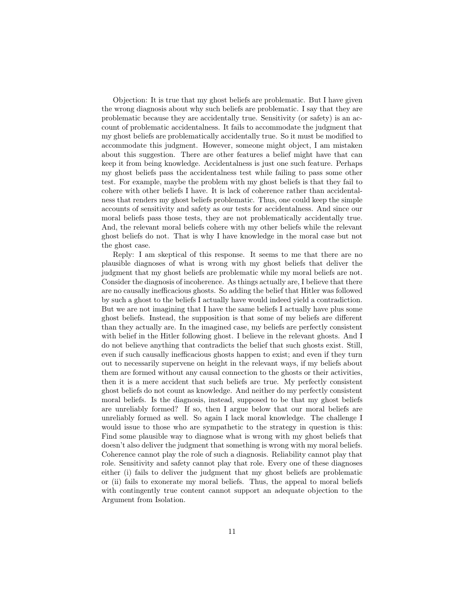Objection: It is true that my ghost beliefs are problematic. But I have given the wrong diagnosis about why such beliefs are problematic. I say that they are problematic because they are accidentally true. Sensitivity (or safety) is an account of problematic accidentalness. It fails to accommodate the judgment that my ghost beliefs are problematically accidentally true. So it must be modified to accommodate this judgment. However, someone might object, I am mistaken about this suggestion. There are other features a belief might have that can keep it from being knowledge. Accidentalness is just one such feature. Perhaps my ghost beliefs pass the accidentalness test while failing to pass some other test. For example, maybe the problem with my ghost beliefs is that they fail to cohere with other beliefs I have. It is lack of coherence rather than accidentalness that renders my ghost beliefs problematic. Thus, one could keep the simple accounts of sensitivity and safety as our tests for accidentalness. And since our moral beliefs pass those tests, they are not problematically accidentally true. And, the relevant moral beliefs cohere with my other beliefs while the relevant ghost beliefs do not. That is why I have knowledge in the moral case but not the ghost case.

Reply: I am skeptical of this response. It seems to me that there are no plausible diagnoses of what is wrong with my ghost beliefs that deliver the judgment that my ghost beliefs are problematic while my moral beliefs are not. Consider the diagnosis of incoherence. As things actually are, I believe that there are no causally inefficacious ghosts. So adding the belief that Hitler was followed by such a ghost to the beliefs I actually have would indeed yield a contradiction. But we are not imagining that I have the same beliefs I actually have plus some ghost beliefs. Instead, the supposition is that some of my beliefs are different than they actually are. In the imagined case, my beliefs are perfectly consistent with belief in the Hitler following ghost. I believe in the relevant ghosts. And I do not believe anything that contradicts the belief that such ghosts exist. Still, even if such causally inefficacious ghosts happen to exist; and even if they turn out to necessarily supervene on height in the relevant ways, if my beliefs about them are formed without any causal connection to the ghosts or their activities, then it is a mere accident that such beliefs are true. My perfectly consistent ghost beliefs do not count as knowledge. And neither do my perfectly consistent moral beliefs. Is the diagnosis, instead, supposed to be that my ghost beliefs are unreliably formed? If so, then I argue below that our moral beliefs are unreliably formed as well. So again I lack moral knowledge. The challenge I would issue to those who are sympathetic to the strategy in question is this: Find some plausible way to diagnose what is wrong with my ghost beliefs that doesn't also deliver the judgment that something is wrong with my moral beliefs. Coherence cannot play the role of such a diagnosis. Reliability cannot play that role. Sensitivity and safety cannot play that role. Every one of these diagnoses either (i) fails to deliver the judgment that my ghost beliefs are problematic or (ii) fails to exonerate my moral beliefs. Thus, the appeal to moral beliefs with contingently true content cannot support an adequate objection to the Argument from Isolation.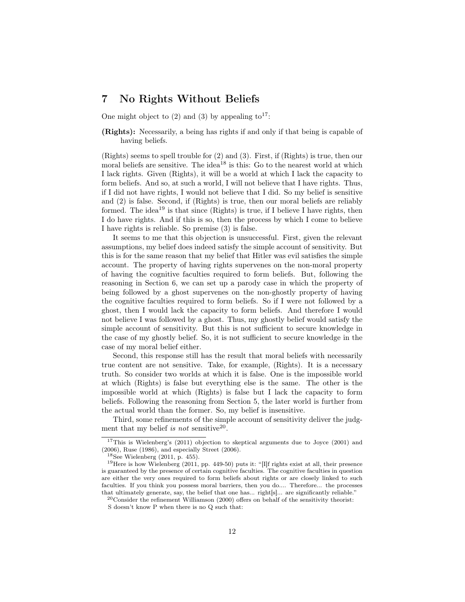#### 7 No Rights Without Beliefs

One might object to  $(2)$  and  $(3)$  by appealing to<sup>17</sup>:

(Rights): Necessarily, a being has rights if and only if that being is capable of having beliefs.

(Rights) seems to spell trouble for (2) and (3). First, if (Rights) is true, then our moral beliefs are sensitive. The idea<sup>18</sup> is this: Go to the nearest world at which I lack rights. Given (Rights), it will be a world at which I lack the capacity to form beliefs. And so, at such a world, I will not believe that I have rights. Thus, if I did not have rights, I would not believe that I did. So my belief is sensitive and (2) is false. Second, if (Rights) is true, then our moral beliefs are reliably formed. The idea<sup>19</sup> is that since (Rights) is true, if I believe I have rights, then I do have rights. And if this is so, then the process by which I come to believe I have rights is reliable. So premise (3) is false.

It seems to me that this objection is unsuccessful. First, given the relevant assumptions, my belief does indeed satisfy the simple account of sensitivity. But this is for the same reason that my belief that Hitler was evil satisfies the simple account. The property of having rights supervenes on the non-moral property of having the cognitive faculties required to form beliefs. But, following the reasoning in Section 6, we can set up a parody case in which the property of being followed by a ghost supervenes on the non-ghostly property of having the cognitive faculties required to form beliefs. So if I were not followed by a ghost, then I would lack the capacity to form beliefs. And therefore I would not believe I was followed by a ghost. Thus, my ghostly belief would satisfy the simple account of sensitivity. But this is not sufficient to secure knowledge in the case of my ghostly belief. So, it is not sufficient to secure knowledge in the case of my moral belief either.

Second, this response still has the result that moral beliefs with necessarily true content are not sensitive. Take, for example, (Rights). It is a necessary truth. So consider two worlds at which it is false. One is the impossible world at which (Rights) is false but everything else is the same. The other is the impossible world at which (Rights) is false but I lack the capacity to form beliefs. Following the reasoning from Section 5, the later world is further from the actual world than the former. So, my belief is insensitive.

Third, some refinements of the simple account of sensitivity deliver the judgment that my belief *is not* sensitive<sup>20</sup>.

<sup>&</sup>lt;sup>17</sup>This is Wielenberg's  $(2011)$  objection to skeptical arguments due to Joyce  $(2001)$  and (2006), Ruse (1986), and especially Street (2006).

<sup>18</sup>See Wielenberg (2011, p. 455).

<sup>&</sup>lt;sup>19</sup>Here is how Wielenberg  $(2011, pp. 449-50)$  puts it: "[I]f rights exist at all, their presence is guaranteed by the presence of certain cognitive faculties. The cognitive faculties in question are either the very ones required to form beliefs about rights or are closely linked to such faculties. If you think you possess moral barriers, then you do.... Therefore... the processes that ultimately generate, say, the belief that one has... right[s]... are significantly reliable."

 $20$ Consider the refinement Williamson (2000) offers on behalf of the sensitivity theorist:

S doesn't know P when there is no Q such that: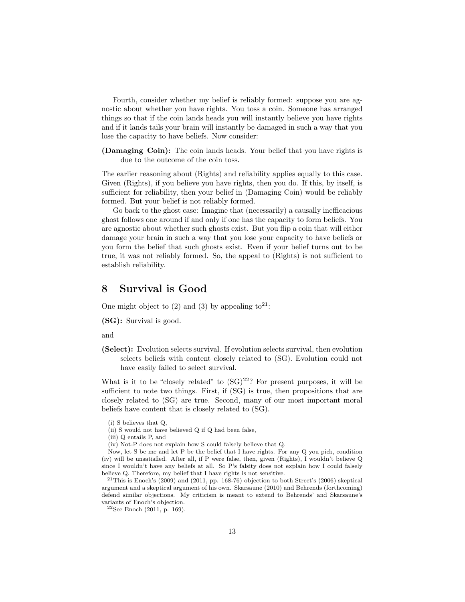Fourth, consider whether my belief is reliably formed: suppose you are agnostic about whether you have rights. You toss a coin. Someone has arranged things so that if the coin lands heads you will instantly believe you have rights and if it lands tails your brain will instantly be damaged in such a way that you lose the capacity to have beliefs. Now consider:

(Damaging Coin): The coin lands heads. Your belief that you have rights is due to the outcome of the coin toss.

The earlier reasoning about (Rights) and reliability applies equally to this case. Given (Rights), if you believe you have rights, then you do. If this, by itself, is sufficient for reliability, then your belief in (Damaging Coin) would be reliably formed. But your belief is not reliably formed.

Go back to the ghost case: Imagine that (necessarily) a causally inefficacious ghost follows one around if and only if one has the capacity to form beliefs. You are agnostic about whether such ghosts exist. But you flip a coin that will either damage your brain in such a way that you lose your capacity to have beliefs or you form the belief that such ghosts exist. Even if your belief turns out to be true, it was not reliably formed. So, the appeal to (Rights) is not sufficient to establish reliability.

#### 8 Survival is Good

One might object to (2) and (3) by appealing  $\text{to}^{21}$ :

(SG): Survival is good.

and

(Select): Evolution selects survival. If evolution selects survival, then evolution selects beliefs with content closely related to (SG). Evolution could not have easily failed to select survival.

What is it to be "closely related" to  $(SG)^{22}$ ? For present purposes, it will be sufficient to note two things. First, if (SG) is true, then propositions that are closely related to (SG) are true. Second, many of our most important moral beliefs have content that is closely related to (SG).

<sup>(</sup>i) S believes that Q,

<sup>(</sup>ii) S would not have believed Q if Q had been false,

<sup>(</sup>iii) Q entails P, and

<sup>(</sup>iv) Not-P does not explain how S could falsely believe that Q.

Now, let S be me and let P be the belief that I have rights. For any Q you pick, condition (iv) will be unsatisfied. After all, if P were false, then, given (Rights), I wouldn't believe Q since I wouldn't have any beliefs at all. So P's falsity does not explain how I could falsely believe Q. Therefore, my belief that I have rights is not sensitive.

 $21$ This is Enoch's (2009) and (2011, pp. 168-76) objection to both Street's (2006) skeptical argument and a skeptical argument of his own. Skarsaune (2010) and Behrends (forthcoming) defend similar objections. My criticism is meant to extend to Behrends' and Skarsaune's variants of Enoch's objection.

 $^{22}\mathrm{See}$  Enoch (2011, p. 169).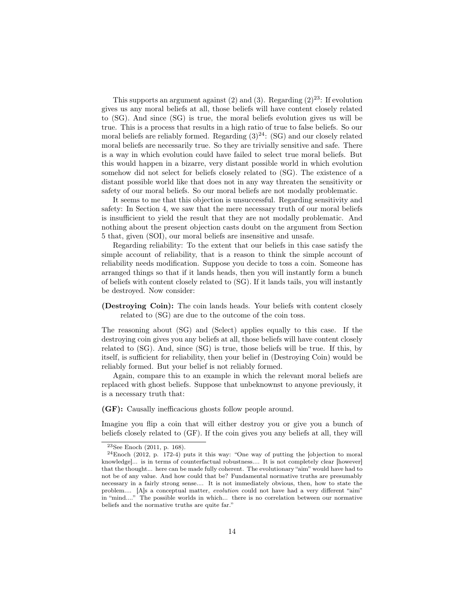This supports an argument against (2) and (3). Regarding  $(2)^{23}$ : If evolution gives us any moral beliefs at all, those beliefs will have content closely related to (SG). And since (SG) is true, the moral beliefs evolution gives us will be true. This is a process that results in a high ratio of true to false beliefs. So our moral beliefs are reliably formed. Regarding  $(3)^{24}$ : (SG) and our closely related moral beliefs are necessarily true. So they are trivially sensitive and safe. There is a way in which evolution could have failed to select true moral beliefs. But this would happen in a bizarre, very distant possible world in which evolution somehow did not select for beliefs closely related to (SG). The existence of a distant possible world like that does not in any way threaten the sensitivity or safety of our moral beliefs. So our moral beliefs are not modally problematic.

It seems to me that this objection is unsuccessful. Regarding sensitivity and safety: In Section 4, we saw that the mere necessary truth of our moral beliefs is insufficient to yield the result that they are not modally problematic. And nothing about the present objection casts doubt on the argument from Section 5 that, given (SOI), our moral beliefs are insensitive and unsafe.

Regarding reliability: To the extent that our beliefs in this case satisfy the simple account of reliability, that is a reason to think the simple account of reliability needs modification. Suppose you decide to toss a coin. Someone has arranged things so that if it lands heads, then you will instantly form a bunch of beliefs with content closely related to (SG). If it lands tails, you will instantly be destroyed. Now consider:

(Destroying Coin): The coin lands heads. Your beliefs with content closely related to (SG) are due to the outcome of the coin toss.

The reasoning about (SG) and (Select) applies equally to this case. If the destroying coin gives you any beliefs at all, those beliefs will have content closely related to (SG). And, since (SG) is true, those beliefs will be true. If this, by itself, is sufficient for reliability, then your belief in (Destroying Coin) would be reliably formed. But your belief is not reliably formed.

Again, compare this to an example in which the relevant moral beliefs are replaced with ghost beliefs. Suppose that unbeknownst to anyone previously, it is a necessary truth that:

(GF): Causally inefficacious ghosts follow people around.

Imagine you flip a coin that will either destroy you or give you a bunch of beliefs closely related to (GF). If the coin gives you any beliefs at all, they will

<sup>23</sup>See Enoch (2011, p. 168).

 $^{24}$ Enoch (2012, p. 172-4) puts it this way: "One way of putting the [objection to moral knowledge]... is in terms of counterfactual robustness.... It is not completely clear [however] that the thought... here can be made fully coherent. The evolutionary "aim" would have had to not be of any value. And how could that be? Fundamental normative truths are presumably necessary in a fairly strong sense.... It is not immediately obvious, then, how to state the problem.... [A]s a conceptual matter, *evolution* could not have had a very different "aim" in "mind...." The possible worlds in which... there is no correlation between our normative beliefs and the normative truths are quite far."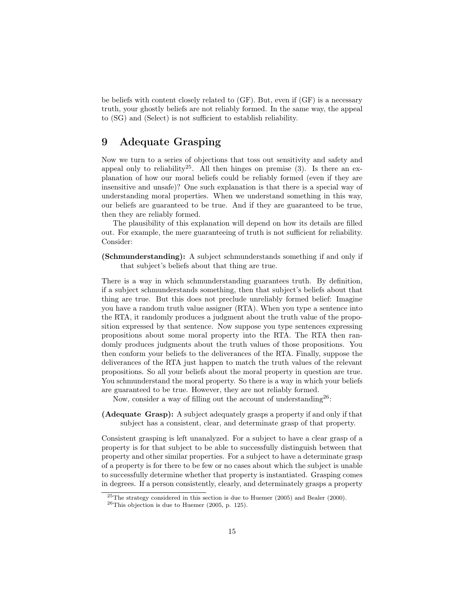be beliefs with content closely related to (GF). But, even if (GF) is a necessary truth, your ghostly beliefs are not reliably formed. In the same way, the appeal to (SG) and (Select) is not sufficient to establish reliability.

### 9 Adequate Grasping

Now we turn to a series of objections that toss out sensitivity and safety and appeal only to reliability<sup>25</sup>. All then hinges on premise  $(3)$ . Is there an explanation of how our moral beliefs could be reliably formed (even if they are insensitive and unsafe)? One such explanation is that there is a special way of understanding moral properties. When we understand something in this way, our beliefs are guaranteed to be true. And if they are guaranteed to be true, then they are reliably formed.

The plausibility of this explanation will depend on how its details are filled out. For example, the mere guaranteeing of truth is not sufficient for reliability. Consider:

(Schmunderstanding): A subject schmunderstands something if and only if that subject's beliefs about that thing are true.

There is a way in which schmunderstanding guarantees truth. By definition, if a subject schmunderstands something, then that subject's beliefs about that thing are true. But this does not preclude unreliably formed belief: Imagine you have a random truth value assigner (RTA). When you type a sentence into the RTA, it randomly produces a judgment about the truth value of the proposition expressed by that sentence. Now suppose you type sentences expressing propositions about some moral property into the RTA. The RTA then randomly produces judgments about the truth values of those propositions. You then conform your beliefs to the deliverances of the RTA. Finally, suppose the deliverances of the RTA just happen to match the truth values of the relevant propositions. So all your beliefs about the moral property in question are true. You schmunderstand the moral property. So there is a way in which your beliefs are guaranteed to be true. However, they are not reliably formed.

Now, consider a way of filling out the account of understanding  $26$ :

(Adequate Grasp): A subject adequately grasps a property if and only if that subject has a consistent, clear, and determinate grasp of that property.

Consistent grasping is left unanalyzed. For a subject to have a clear grasp of a property is for that subject to be able to successfully distinguish between that property and other similar properties. For a subject to have a determinate grasp of a property is for there to be few or no cases about which the subject is unable to successfully determine whether that property is instantiated. Grasping comes in degrees. If a person consistently, clearly, and determinately grasps a property

<sup>25</sup>The strategy considered in this section is due to Huemer (2005) and Bealer (2000).

 $^{26}$ This objection is due to Huemer (2005, p. 125).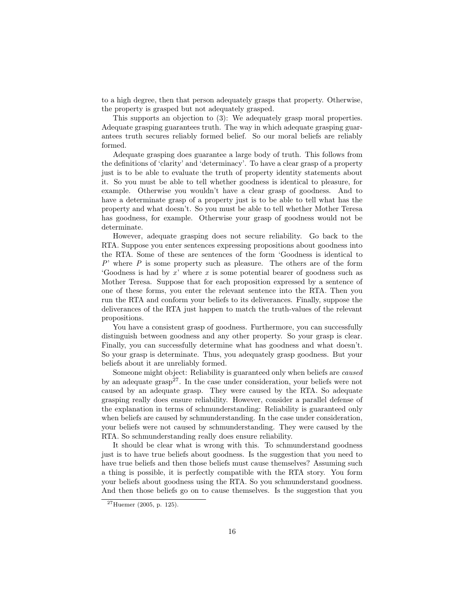to a high degree, then that person adequately grasps that property. Otherwise, the property is grasped but not adequately grasped.

This supports an objection to (3): We adequately grasp moral properties. Adequate grasping guarantees truth. The way in which adequate grasping guarantees truth secures reliably formed belief. So our moral beliefs are reliably formed.

Adequate grasping does guarantee a large body of truth. This follows from the definitions of 'clarity' and 'determinacy'. To have a clear grasp of a property just is to be able to evaluate the truth of property identity statements about it. So you must be able to tell whether goodness is identical to pleasure, for example. Otherwise you wouldn't have a clear grasp of goodness. And to have a determinate grasp of a property just is to be able to tell what has the property and what doesn't. So you must be able to tell whether Mother Teresa has goodness, for example. Otherwise your grasp of goodness would not be determinate.

However, adequate grasping does not secure reliability. Go back to the RTA. Suppose you enter sentences expressing propositions about goodness into the RTA. Some of these are sentences of the form 'Goodness is identical to *P*' where *P* is some property such as pleasure. The others are of the form 'Goodness is had by *x* ' where *x* is some potential bearer of goodness such as Mother Teresa. Suppose that for each proposition expressed by a sentence of one of these forms, you enter the relevant sentence into the RTA. Then you run the RTA and conform your beliefs to its deliverances. Finally, suppose the deliverances of the RTA just happen to match the truth-values of the relevant propositions.

You have a consistent grasp of goodness. Furthermore, you can successfully distinguish between goodness and any other property. So your grasp is clear. Finally, you can successfully determine what has goodness and what doesn't. So your grasp is determinate. Thus, you adequately grasp goodness. But your beliefs about it are unreliably formed.

Someone might object: Reliability is guaranteed only when beliefs are *caused* by an adequate  $grasp^{27}$ . In the case under consideration, your beliefs were not caused by an adequate grasp. They were caused by the RTA. So adequate grasping really does ensure reliability. However, consider a parallel defense of the explanation in terms of schmunderstanding: Reliability is guaranteed only when beliefs are caused by schmunderstanding. In the case under consideration, your beliefs were not caused by schmunderstanding. They were caused by the RTA. So schmunderstanding really does ensure reliability.

It should be clear what is wrong with this. To schmunderstand goodness just is to have true beliefs about goodness. Is the suggestion that you need to have true beliefs and then those beliefs must cause themselves? Assuming such a thing is possible, it is perfectly compatible with the RTA story. You form your beliefs about goodness using the RTA. So you schmunderstand goodness. And then those beliefs go on to cause themselves. Is the suggestion that you

<sup>27</sup>Huemer (2005, p. 125).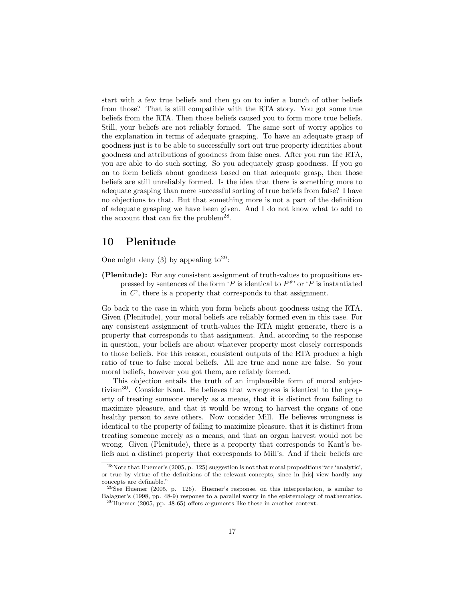start with a few true beliefs and then go on to infer a bunch of other beliefs from those? That is still compatible with the RTA story. You got some true beliefs from the RTA. Then those beliefs caused you to form more true beliefs. Still, your beliefs are not reliably formed. The same sort of worry applies to the explanation in terms of adequate grasping. To have an adequate grasp of goodness just is to be able to successfully sort out true property identities about goodness and attributions of goodness from false ones. After you run the RTA, you are able to do such sorting. So you adequately grasp goodness. If you go on to form beliefs about goodness based on that adequate grasp, then those beliefs are still unreliably formed. Is the idea that there is something more to adequate grasping than mere successful sorting of true beliefs from false? I have no objections to that. But that something more is not a part of the definition of adequate grasping we have been given. And I do not know what to add to the account that can fix the problem<sup>28</sup>.

#### 10 Plenitude

One might deny (3) by appealing to  $2^9$ :

(Plenitude): For any consistent assignment of truth-values to propositions expressed by sentences of the form  $\lq P$  is identical to  $P^*$  or  $\lq P$  is instantiated in *C* ', there is a property that corresponds to that assignment.

Go back to the case in which you form beliefs about goodness using the RTA. Given (Plenitude), your moral beliefs are reliably formed even in this case. For any consistent assignment of truth-values the RTA might generate, there is a property that corresponds to that assignment. And, according to the response in question, your beliefs are about whatever property most closely corresponds to those beliefs. For this reason, consistent outputs of the RTA produce a high ratio of true to false moral beliefs. All are true and none are false. So your moral beliefs, however you got them, are reliably formed.

This objection entails the truth of an implausible form of moral subjectivism<sup>30</sup>. Consider Kant. He believes that wrongness is identical to the property of treating someone merely as a means, that it is distinct from failing to maximize pleasure, and that it would be wrong to harvest the organs of one healthy person to save others. Now consider Mill. He believes wrongness is identical to the property of failing to maximize pleasure, that it is distinct from treating someone merely as a means, and that an organ harvest would not be wrong. Given (Plenitude), there is a property that corresponds to Kant's beliefs and a distinct property that corresponds to Mill's. And if their beliefs are

<sup>&</sup>lt;sup>28</sup>Note that Huemer's (2005, p. 125) suggestion is not that moral propositions "are 'analytic', or true by virtue of the definitions of the relevant concepts, since in [his] view hardly any concepts are definable."

<sup>29</sup>See Huemer (2005, p. 126). Huemer's response, on this interpretation, is similar to Balaguer's (1998, pp. 48-9) response to a parallel worry in the epistemology of mathematics.

<sup>30</sup>Huemer (2005, pp. 48-65) offers arguments like these in another context.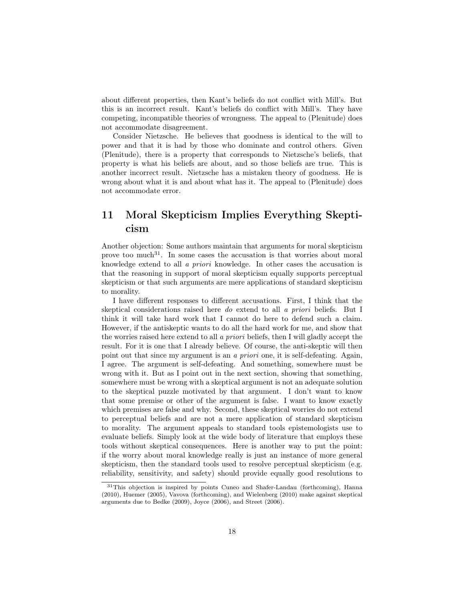about different properties, then Kant's beliefs do not conflict with Mill's. But this is an incorrect result. Kant's beliefs do conflict with Mill's. They have competing, incompatible theories of wrongness. The appeal to (Plenitude) does not accommodate disagreement.

Consider Nietzsche. He believes that goodness is identical to the will to power and that it is had by those who dominate and control others. Given (Plenitude), there is a property that corresponds to Nietzsche's beliefs, that property is what his beliefs are about, and so those beliefs are true. This is another incorrect result. Nietzsche has a mistaken theory of goodness. He is wrong about what it is and about what has it. The appeal to (Plenitude) does not accommodate error.

## 11 Moral Skepticism Implies Everything Skepticism

Another objection: Some authors maintain that arguments for moral skepticism prove too much<sup>31</sup>. In some cases the accusation is that worries about moral knowledge extend to all *a priori* knowledge. In other cases the accusation is that the reasoning in support of moral skepticism equally supports perceptual skepticism or that such arguments are mere applications of standard skepticism to morality.

I have different responses to different accusations. First, I think that the skeptical considerations raised here *do* extend to all *a priori* beliefs. But I think it will take hard work that I cannot do here to defend such a claim. However, if the antiskeptic wants to do all the hard work for me, and show that the worries raised here extend to all *a priori* beliefs, then I will gladly accept the result. For it is one that I already believe. Of course, the anti-skeptic will then point out that since my argument is an *a priori* one, it is self-defeating. Again, I agree. The argument is self-defeating. And something, somewhere must be wrong with it. But as I point out in the next section, showing that something, somewhere must be wrong with a skeptical argument is not an adequate solution to the skeptical puzzle motivated by that argument. I don't want to know that some premise or other of the argument is false. I want to know exactly which premises are false and why. Second, these skeptical worries do not extend to perceptual beliefs and are not a mere application of standard skepticism to morality. The argument appeals to standard tools epistemologists use to evaluate beliefs. Simply look at the wide body of literature that employs these tools without skeptical consequences. Here is another way to put the point: if the worry about moral knowledge really is just an instance of more general skepticism, then the standard tools used to resolve perceptual skepticism (e.g. reliability, sensitivity, and safety) should provide equally good resolutions to

<sup>31</sup>This objection is inspired by points Cuneo and Shafer-Landau (forthcoming), Hanna (2010), Huemer (2005), Vavova (forthcoming), and Wielenberg (2010) make against skeptical arguments due to Bedke (2009), Joyce (2006), and Street (2006).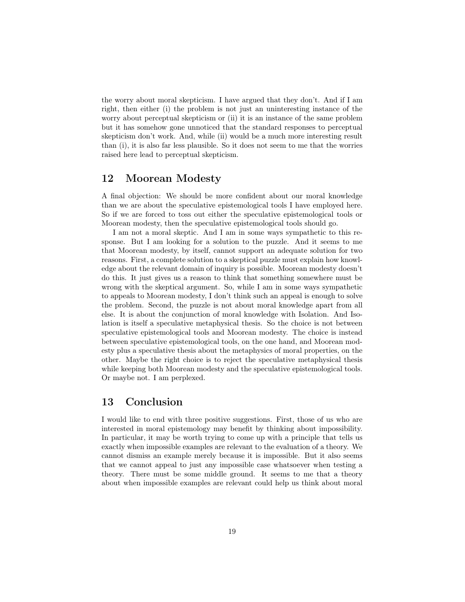the worry about moral skepticism. I have argued that they don't. And if I am right, then either (i) the problem is not just an uninteresting instance of the worry about perceptual skepticism or (ii) it is an instance of the same problem but it has somehow gone unnoticed that the standard responses to perceptual skepticism don't work. And, while (ii) would be a much more interesting result than (i), it is also far less plausible. So it does not seem to me that the worries raised here lead to perceptual skepticism.

#### 12 Moorean Modesty

A final objection: We should be more confident about our moral knowledge than we are about the speculative epistemological tools I have employed here. So if we are forced to toss out either the speculative epistemological tools or Moorean modesty, then the speculative epistemological tools should go.

I am not a moral skeptic. And I am in some ways sympathetic to this response. But I am looking for a solution to the puzzle. And it seems to me that Moorean modesty, by itself, cannot support an adequate solution for two reasons. First, a complete solution to a skeptical puzzle must explain how knowledge about the relevant domain of inquiry is possible. Moorean modesty doesn't do this. It just gives us a reason to think that something somewhere must be wrong with the skeptical argument. So, while I am in some ways sympathetic to appeals to Moorean modesty, I don't think such an appeal is enough to solve the problem. Second, the puzzle is not about moral knowledge apart from all else. It is about the conjunction of moral knowledge with Isolation. And Isolation is itself a speculative metaphysical thesis. So the choice is not between speculative epistemological tools and Moorean modesty. The choice is instead between speculative epistemological tools, on the one hand, and Moorean modesty plus a speculative thesis about the metaphysics of moral properties, on the other. Maybe the right choice is to reject the speculative metaphysical thesis while keeping both Moorean modesty and the speculative epistemological tools. Or maybe not. I am perplexed.

#### 13 Conclusion

I would like to end with three positive suggestions. First, those of us who are interested in moral epistemology may benefit by thinking about impossibility. In particular, it may be worth trying to come up with a principle that tells us exactly when impossible examples are relevant to the evaluation of a theory. We cannot dismiss an example merely because it is impossible. But it also seems that we cannot appeal to just any impossible case whatsoever when testing a theory. There must be some middle ground. It seems to me that a theory about when impossible examples are relevant could help us think about moral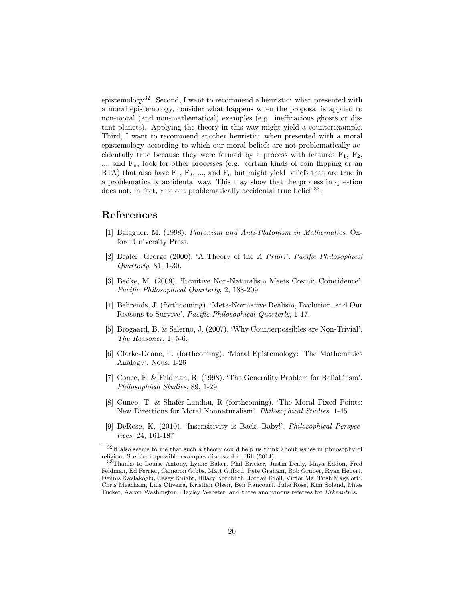epistemology32. Second, I want to recommend a heuristic: when presented with a moral epistemology, consider what happens when the proposal is applied to non-moral (and non-mathematical) examples (e.g. inefficacious ghosts or distant planets). Applying the theory in this way might yield a counterexample. Third, I want to recommend another heuristic: when presented with a moral epistemology according to which our moral beliefs are not problematically accidentally true because they were formed by a process with features  $F_1$ ,  $F_2$ ,  $...,$  and  $F_n$ , look for other processes (e.g. certain kinds of coin flipping or an RTA) that also have  $F_1, F_2, ...,$  and  $F_n$  but might yield beliefs that are true in a problematically accidental way. This may show that the process in question does not, in fact, rule out problematically accidental true belief <sup>33</sup>.

#### References

- [1] Balaguer, M. (1998). *Platonism and Anti-Platonism in Mathematics*. Oxford University Press.
- [2] Bealer, George (2000). 'A Theory of the *A Priori*'. *Pacific Philosophical Quarterly*, 81, 1-30.
- [3] Bedke, M. (2009). 'Intuitive Non-Naturalism Meets Cosmic Coincidence'. *Pacific Philosophical Quarterly*, 2, 188-209.
- [4] Behrends, J. (forthcoming). 'Meta-Normative Realism, Evolution, and Our Reasons to Survive'. *Pacific Philosophical Quarterly*, 1-17.
- [5] Brogaard, B. & Salerno, J. (2007). 'Why Counterpossibles are Non-Trivial'. *The Reasoner*, 1, 5-6.
- [6] Clarke-Doane, J. (forthcoming). 'Moral Epistemology: The Mathematics Analogy'. Nous, 1-26
- [7] Conee, E. & Feldman, R. (1998). 'The Generality Problem for Reliabilism'. *Philosophical Studies*, 89, 1-29.
- [8] Cuneo, T. & Shafer-Landau, R (forthcoming). 'The Moral Fixed Points: New Directions for Moral Nonnaturalism'. *Philosophical Studies*, 1-45.
- [9] DeRose, K. (2010). 'Insensitivity is Back, Baby!'. *Philosophical Perspectives*, 24, 161-187

<sup>32</sup>It also seems to me that such a theory could help us think about issues in philosophy of religion. See the impossible examples discussed in Hill (2014).

<sup>33</sup>Thanks to Louise Antony, Lynne Baker, Phil Bricker, Justin Dealy, Maya Eddon, Fred Feldman, Ed Ferrier, Cameron Gibbs, Matt Gifford, Pete Graham, Bob Gruber, Ryan Hebert, Dennis Kavlakoglu, Casey Knight, Hilary Kornblith, Jordan Kroll, Victor Ma, Trish Magalotti, Chris Meacham, Luis Oliveira, Kristian Olsen, Ben Rancourt, Julie Rose, Kim Soland, Miles Tucker, Aaron Washington, Hayley Webster, and three anonymous referees for *Erkenntnis*.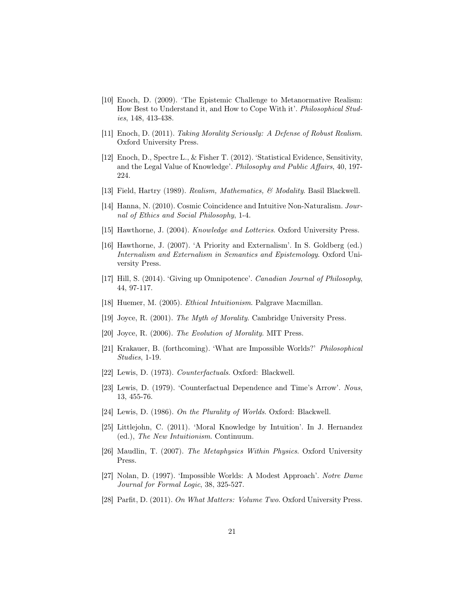- [10] Enoch, D. (2009). 'The Epistemic Challenge to Metanormative Realism: How Best to Understand it, and How to Cope With it'. *Philosophical Studies*, 148, 413-438.
- [11] Enoch, D. (2011). *Taking Morality Seriously: A Defense of Robust Realism*. Oxford University Press.
- [12] Enoch, D., Spectre L., & Fisher T. (2012). 'Statistical Evidence, Sensitivity, and the Legal Value of Knowledge'. *Philosophy and Public A*ff*airs*, 40, 197- 224.
- [13] Field, Hartry (1989). *Realism, Mathematics, & Modality*. Basil Blackwell.
- [14] Hanna, N. (2010). Cosmic Coincidence and Intuitive Non-Naturalism. *Journal of Ethics and Social Philosophy*, 1-4.
- [15] Hawthorne, J. (2004). *Knowledge and Lotteries*. Oxford University Press.
- [16] Hawthorne, J. (2007). 'A Priority and Externalism'. In S. Goldberg (ed.) *Internalism and Externalism in Semantics and Epistemology*. Oxford University Press.
- [17] Hill, S. (2014). 'Giving up Omnipotence'. *Canadian Journal of Philosophy*, 44, 97-117.
- [18] Huemer, M. (2005). *Ethical Intuitionism*. Palgrave Macmillan.
- [19] Joyce, R. (2001). *The Myth of Morality*. Cambridge University Press.
- [20] Joyce, R. (2006). *The Evolution of Morality*. MIT Press.
- [21] Krakauer, B. (forthcoming). 'What are Impossible Worlds?' *Philosophical Studies*, 1-19.
- [22] Lewis, D. (1973). *Counterfactuals*. Oxford: Blackwell.
- [23] Lewis, D. (1979). 'Counterfactual Dependence and Time's Arrow'. *Nous*, 13, 455-76.
- [24] Lewis, D. (1986). *On the Plurality of Worlds*. Oxford: Blackwell.
- [25] Littlejohn, C. (2011). 'Moral Knowledge by Intuition'. In J. Hernandez (ed.), *The New Intuitionism*. Continuum.
- [26] Maudlin, T. (2007). *The Metaphysics Within Physics*. Oxford University Press.
- [27] Nolan, D. (1997). 'Impossible Worlds: A Modest Approach'. *Notre Dame Journal for Formal Logic*, 38, 325-527.
- [28] Parfit, D. (2011). *On What Matters: Volume Two*. Oxford University Press.